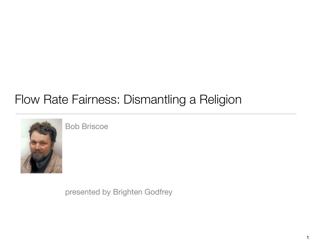# Flow Rate Fairness: Dismantling a Religion



Bob Briscoe

presented by Brighten Godfrey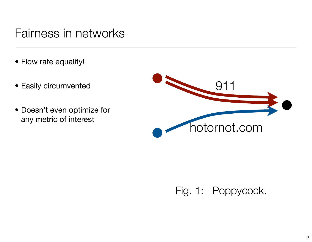## Fairness in networks

- Flow rate equality!
- Easily circumvented
- Doesn't even optimize for any metric of interest



#### Fig. 1: Poppycock.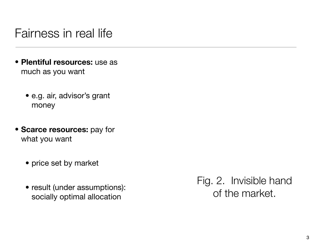#### Fairness in real life

- **Plentiful resources:** use as much as you want
	- e.g. air, advisor's grant money
- **Scarce resources:** pay for what you want
	- price set by market
	- result (under assumptions): socially optimal allocation

Fig. 2. Invisible hand of the market.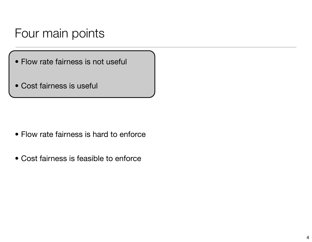#### Four main points

- Flow rate fairness is not useful
- Cost fairness is useful

- Flow rate fairness is hard to enforce
- Cost fairness is feasible to enforce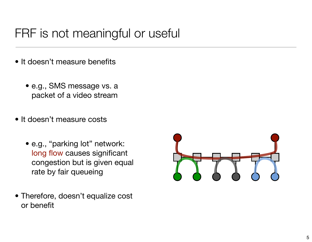## FRF is not meaningful or useful

- It doesn't measure benefits
	- e.g., SMS message vs. a packet of a video stream
- It doesn't measure costs
	- e.g., "parking lot" network: long flow causes significant congestion but is given equal rate by fair queueing
- Therefore, doesn't equalize cost or benefit

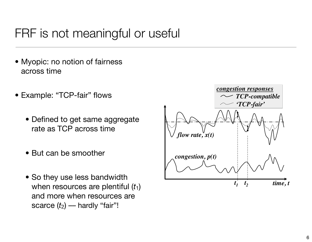## FRF is not meaningful or useful

- Myopic: no notion of fairness across time  $\mathcal{L}$  Final Flow Rate  $\mathcal{L}$   $\mathcal{L}$   $\mathcal{L}$   $\mathcal{L}$   $\mathcal{L}$   $\mathcal{L}$   $\mathcal{L}$   $\mathcal{L}$   $\mathcal{L}$   $\mathcal{L}$   $\mathcal{L}$   $\mathcal{L}$   $\mathcal{L}$   $\mathcal{L}$   $\mathcal{L}$   $\mathcal{L}$   $\mathcal{L}$   $\mathcal{L}$   $\mathcal{L}$   $\mathcal{L}$   $\mathcal{L}$   $\mathcal{L}$
- Example: "TCP-fair" flows
	- Defined to get same aggregate rate as TCP across time
	- But can be smoother
	- So they use less bandwidth when resources are plentiful  $(t_1)$ and more when resources are scarce  $(t_2)$  — hardly "fair"!  $\frac{1}{\sqrt{2}}$  . Schematic showing  $\frac{1}{\sqrt{2}}$  flows cause more congestion flows cause more congestion flows cause more congestion flows cause more congestion flows cause  $\frac{1}{\sqrt{2}}$  $\mathbf{r}$ . A TCP-fair flow is smoother than a TCP-compatible one but that  $\mathbf{r}$

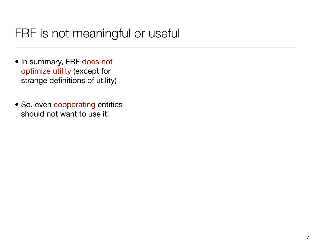## FRF is not meaningful or useful

- In summary, FRF does not optimize utility (except for strange definitions of utility)
- So, even cooperating entities should not want to use it!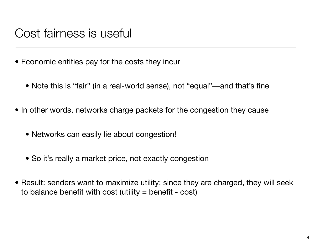#### Cost fairness is useful

- Economic entities pay for the costs they incur
	- Note this is "fair" (in a real-world sense), not "equal"—and that's fine
- In other words, networks charge packets for the congestion they cause
	- Networks can easily lie about congestion!
	- So it's really a market price, not exactly congestion
- Result: senders want to maximize utility; since they are charged, they will seek to balance benefit with cost (utility  $=$  benefit - cost)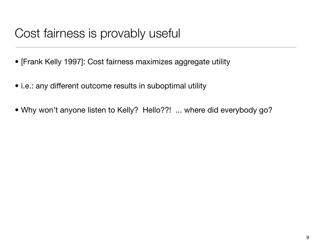## Cost fairness is provably useful

- [Frank Kelly 1997]: Cost fairness maximizes aggregate utility
- i.e.: any different outcome results in suboptimal utility
- Why won't anyone listen to Kelly? Hello??! ... where did everybody go?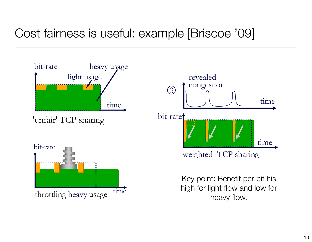# Cost fairness is useful: example [Briscoe '09]

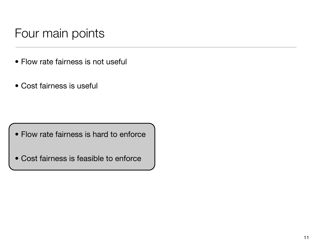## Four main points

- Flow rate fairness is not useful
- Cost fairness is useful

• Flow rate fairness is hard to enforce

• Cost fairness is feasible to enforce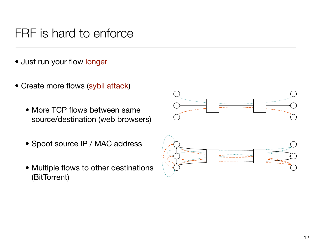#### FRF is hard to enforce

- Just run your flow longer
- Create more flows (sybil attack)
- More TCP flows between same source/destination (web browsers)  $\bullet$  iviore TCP flows between same Once a cost is assigned to congestion that equates to the
- Spoof source IP / MAC address rule. Perhaps some people might be allowed to get more
- Multiple flows to other destinations cause to other comes now  $\overline{\text{C}}$  contracts. For  $\overline{\text{C}}$  $b = \frac{b}{b}$

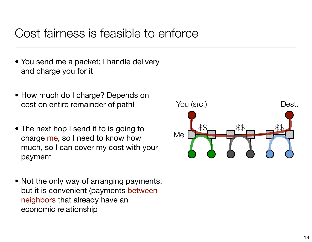#### Cost fairness is feasible to enforce

- You send me a packet; I handle delivery and charge you for it
- How much do I charge? Depends on cost on entire remainder of path!
- The next hop I send it to is going to charge me, so I need to know how much, so I can cover my cost with your payment
- Not the only way of arranging payments, but it is convenient (payments between neighbors that already have an economic relationship

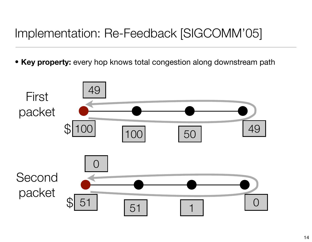# Implementation: Re-Feedback [SIGCOMM'05]

• **Key property:** every hop knows total congestion along downstream path

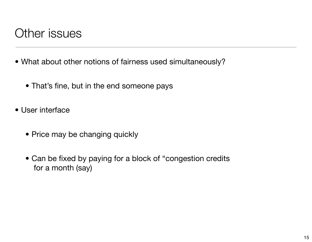#### Other issues

- What about other notions of fairness used simultaneously?
	- That's fine, but in the end someone pays
- User interface
	- Price may be changing quickly
	- Can be fixed by paying for a block of "congestion credits for a month (say)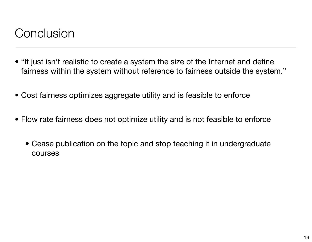## **Conclusion**

- "It just isn't realistic to create a system the size of the Internet and define fairness within the system without reference to fairness outside the system."
- Cost fairness optimizes aggregate utility and is feasible to enforce
- Flow rate fairness does not optimize utility and is not feasible to enforce
	- Cease publication on the topic and stop teaching it in undergraduate courses